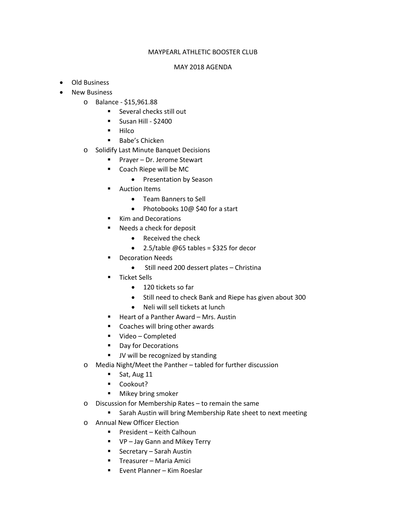## MAYPEARL ATHLETIC BOOSTER CLUB

## MAY 2018 AGENDA

- Old Business
- **New Business** 
	- o Balance \$15,961.88
		- **Several checks still out**
		- $\blacksquare$  Susan Hill \$2400
		- $-Hilco$
		- **Babe's Chicken**
	- o Solidify Last Minute Banquet Decisions
		- Prayer Dr. Jerome Stewart
		- Coach Riepe will be MC
			- Presentation by Season
		- **-** Auction Items
			- Team Banners to Sell
			- Photobooks 10@ \$40 for a start
		- Kim and Decorations
		- Needs a check for deposit
			- Received the check
			- $\bullet$  2.5/table @65 tables = \$325 for decor
		- Decoration Needs
			- Still need 200 dessert plates Christina
		- **Ticket Sells** 
			- 120 tickets so far
			- Still need to check Bank and Riepe has given about 300
			- Neli will sell tickets at lunch
		- Heart of a Panther Award Mrs. Austin
		- Coaches will bring other awards
		- Video Completed
		- Day for Decorations
		- **JV** will be recognized by standing
	- o Media Night/Meet the Panther tabled for further discussion
		- $\blacksquare$  Sat, Aug 11
		- **-** Cookout?
		- Mikey bring smoker
	- o Discussion for Membership Rates to remain the same
		- **EXECT:** Sarah Austin will bring Membership Rate sheet to next meeting
	- o Annual New Officer Election
		- President Keith Calhoun
		- VP Jay Gann and Mikey Terry
		- Secretary Sarah Austin
		- Treasurer Maria Amici
		- Event Planner Kim Roeslar